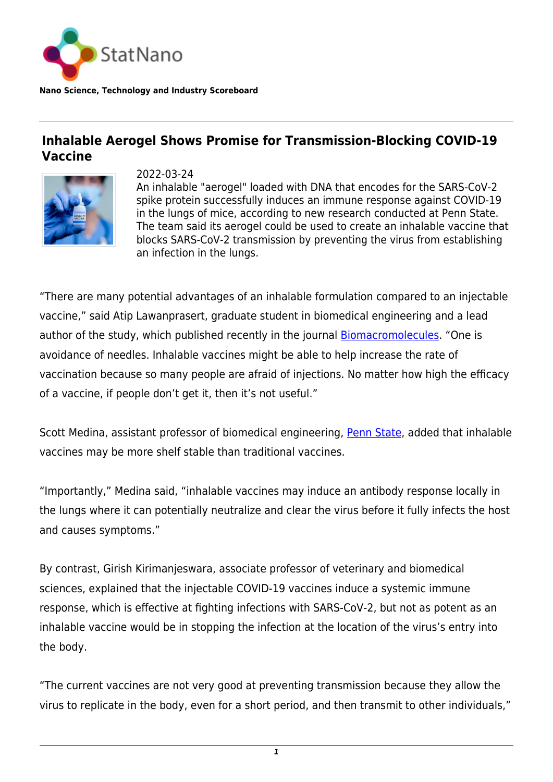

## **Inhalable Aerogel Shows Promise for Transmission-Blocking COVID-19 Vaccine**



2022-03-24 An inhalable "aerogel" loaded with DNA that encodes for the SARS-CoV-2 spike protein successfully induces an immune response against COVID-19 in the lungs of mice, according to new research conducted at Penn State. The team said its aerogel could be used to create an inhalable vaccine that blocks SARS-CoV-2 transmission by preventing the virus from establishing an infection in the lungs.

"There are many potential advantages of an inhalable formulation compared to an injectable vaccine," said Atip Lawanprasert, graduate student in biomedical engineering and a lead author of the study, which published recently in the journal **Biomacromolecules**. "One is avoidance of needles. Inhalable vaccines might be able to help increase the rate of vaccination because so many people are afraid of injections. No matter how high the efficacy of a vaccine, if people don't get it, then it's not useful."

Scott Medina, assistant professor of biomedical engineering, [Penn State](https://statnano.com/org/Pennsylvania-State-University), added that inhalable vaccines may be more shelf stable than traditional vaccines.

"Importantly," Medina said, "inhalable vaccines may induce an antibody response locally in the lungs where it can potentially neutralize and clear the virus before it fully infects the host and causes symptoms."

By contrast, Girish Kirimanjeswara, associate professor of veterinary and biomedical sciences, explained that the injectable COVID-19 vaccines induce a systemic immune response, which is effective at fighting infections with SARS-CoV-2, but not as potent as an inhalable vaccine would be in stopping the infection at the location of the virus's entry into the body.

"The current vaccines are not very good at preventing transmission because they allow the virus to replicate in the body, even for a short period, and then transmit to other individuals,"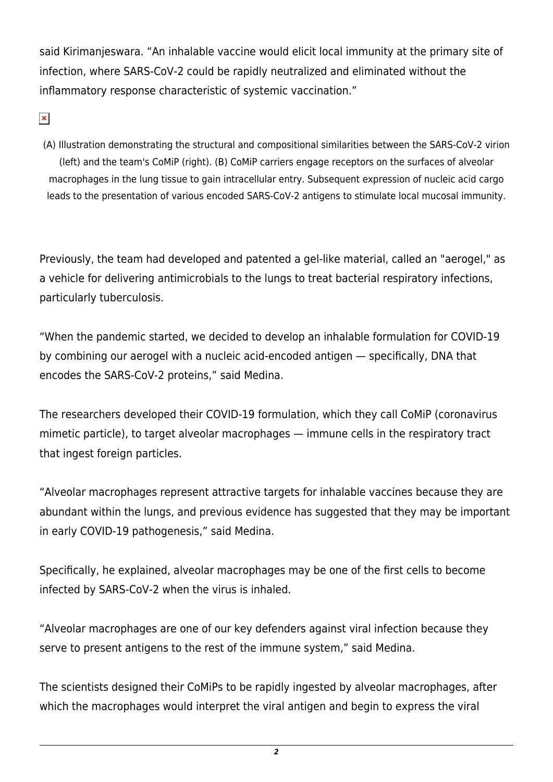said Kirimanjeswara. "An inhalable vaccine would elicit local immunity at the primary site of infection, where SARS-CoV-2 could be rapidly neutralized and eliminated without the inflammatory response characteristic of systemic vaccination."

 $\pmb{\times}$ 

(A) Illustration demonstrating the structural and compositional similarities between the SARS-CoV-2 virion (left) and the team's CoMiP (right). (B) CoMiP carriers engage receptors on the surfaces of alveolar macrophages in the lung tissue to gain intracellular entry. Subsequent expression of nucleic acid cargo leads to the presentation of various encoded SARS-CoV-2 antigens to stimulate local mucosal immunity.

Previously, the team had developed and patented a gel-like material, called an "aerogel," as a vehicle for delivering antimicrobials to the lungs to treat bacterial respiratory infections, particularly tuberculosis.

"When the pandemic started, we decided to develop an inhalable formulation for COVID-19 by combining our aerogel with a nucleic acid-encoded antigen — specifically, DNA that encodes the SARS-CoV-2 proteins," said Medina.

The researchers developed their COVID-19 formulation, which they call CoMiP (coronavirus mimetic particle), to target alveolar macrophages — immune cells in the respiratory tract that ingest foreign particles.

"Alveolar macrophages represent attractive targets for inhalable vaccines because they are abundant within the lungs, and previous evidence has suggested that they may be important in early COVID-19 pathogenesis," said Medina.

Specifically, he explained, alveolar macrophages may be one of the first cells to become infected by SARS-CoV-2 when the virus is inhaled.

"Alveolar macrophages are one of our key defenders against viral infection because they serve to present antigens to the rest of the immune system," said Medina.

The scientists designed their CoMiPs to be rapidly ingested by alveolar macrophages, after which the macrophages would interpret the viral antigen and begin to express the viral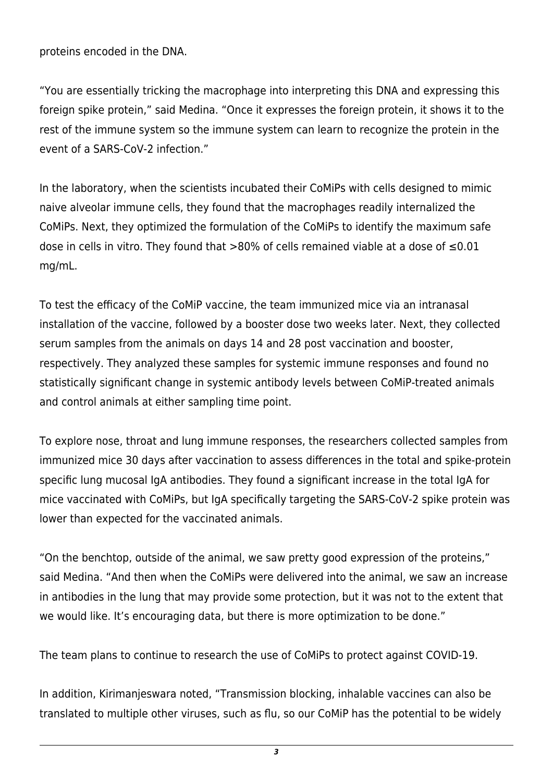proteins encoded in the DNA.

"You are essentially tricking the macrophage into interpreting this DNA and expressing this foreign spike protein," said Medina. "Once it expresses the foreign protein, it shows it to the rest of the immune system so the immune system can learn to recognize the protein in the event of a SARS-CoV-2 infection."

In the laboratory, when the scientists incubated their CoMiPs with cells designed to mimic naive alveolar immune cells, they found that the macrophages readily internalized the CoMiPs. Next, they optimized the formulation of the CoMiPs to identify the maximum safe dose in cells in vitro. They found that >80% of cells remained viable at a dose of ≤0.01 mg/mL.

To test the efficacy of the CoMiP vaccine, the team immunized mice via an intranasal installation of the vaccine, followed by a booster dose two weeks later. Next, they collected serum samples from the animals on days 14 and 28 post vaccination and booster, respectively. They analyzed these samples for systemic immune responses and found no statistically significant change in systemic antibody levels between CoMiP-treated animals and control animals at either sampling time point.

To explore nose, throat and lung immune responses, the researchers collected samples from immunized mice 30 days after vaccination to assess differences in the total and spike-protein specific lung mucosal IgA antibodies. They found a significant increase in the total IgA for mice vaccinated with CoMiPs, but IgA specifically targeting the SARS-CoV-2 spike protein was lower than expected for the vaccinated animals.

"On the benchtop, outside of the animal, we saw pretty good expression of the proteins," said Medina. "And then when the CoMiPs were delivered into the animal, we saw an increase in antibodies in the lung that may provide some protection, but it was not to the extent that we would like. It's encouraging data, but there is more optimization to be done."

The team plans to continue to research the use of CoMiPs to protect against COVID-19.

In addition, Kirimanjeswara noted, "Transmission blocking, inhalable vaccines can also be translated to multiple other viruses, such as flu, so our CoMiP has the potential to be widely

*3*